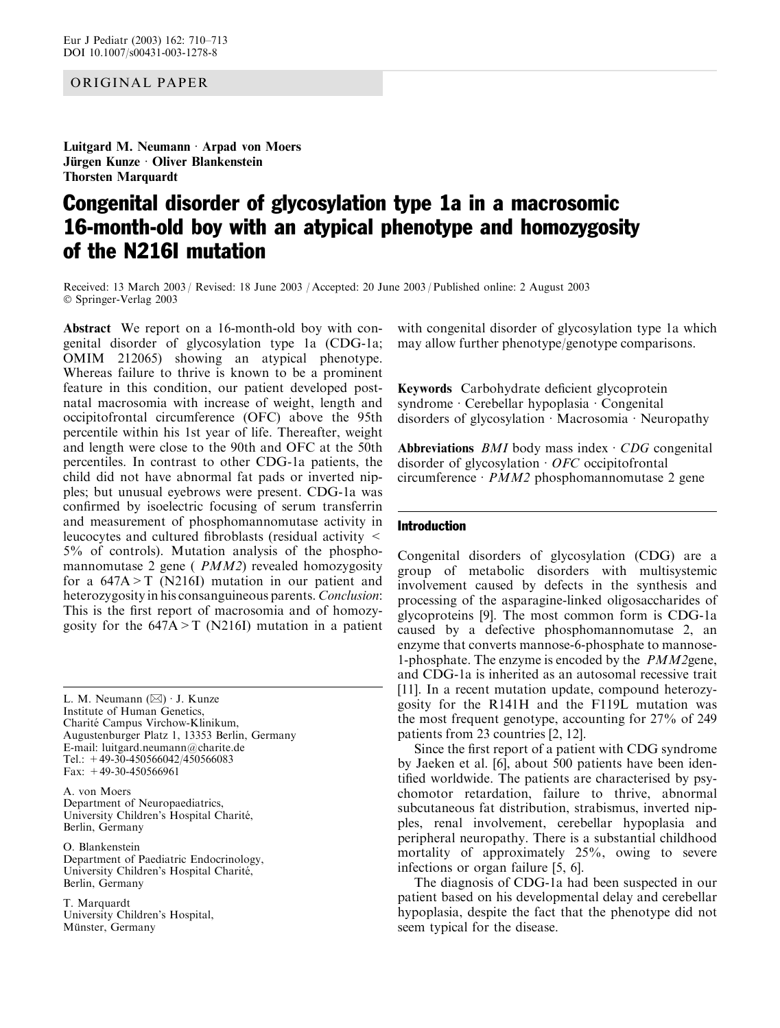## ORIGINAL PAPER

Luitgard M. Neumann  $\cdot$  Arpad von Moers Jürgen Kunze · Oliver Blankenstein **Thorsten Marquardt** 

# Congenital disorder of glycosylation type 1a in a macrosomic 16-month-old boy with an atypical phenotype and homozygosity of the N216I mutation

Received: 13 March 2003 / Revised: 18 June 2003 / Accepted: 20 June 2003 / Published online: 2 August 2003 Springer-Verlag 2003

Abstract We report on a 16-month-old boy with congenital disorder of glycosylation type 1a (CDG-1a; OMIM 212065) showing an atypical phenotype. Whereas failure to thrive is known to be a prominent feature in this condition, our patient developed postnatal macrosomia with increase of weight, length and occipitofrontal circumference (OFC) above the 95th percentile within his 1st year of life. Thereafter, weight and length were close to the 90th and OFC at the 50th percentiles. In contrast to other CDG-1a patients, the child did not have abnormal fat pads or inverted nipples; but unusual eyebrows were present. CDG-1a was confirmed by isoelectric focusing of serum transferrin and measurement of phosphomannomutase activity in leucocytes and cultured fibroblasts (residual activity < 5% of controls). Mutation analysis of the phosphomannomutase 2 gene ( PMM2) revealed homozygosity for a 647A>T (N216I) mutation in our patient and heterozygosity in his consanguineous parents. Conclusion: This is the first report of macrosomia and of homozygosity for the  $647A > T$  (N216I) mutation in a patient

L. M. Neumann  $(\boxtimes) \cdot$  J. Kunze Institute of Human Genetics, Charité Campus Virchow-Klinikum, Augustenburger Platz 1, 13353 Berlin, Germany E-mail: luitgard.neumann@charite.de Tel.: +49-30-450566042/450566083 Fax: +49-30-450566961

A. von Moers Department of Neuropaediatrics, University Children's Hospital Charité, Berlin, Germany

O. Blankenstein Department of Paediatric Endocrinology, University Children's Hospital Charité, Berlin, Germany

T. Marquardt University Children's Hospital, Münster, Germany

with congenital disorder of glycosylation type 1a which may allow further phenotype/genotype comparisons.

Keywords Carbohydrate deficient glycoprotein syndrome  $\cdot$  Cerebellar hypoplasia  $\cdot$  Congenital disorders of glycosylation  $\cdot$  Macrosomia  $\cdot$  Neuropathy

Abbreviations *BMI* body mass index  $\cdot$  *CDG* congenital disorder of glycosylation  $\cdot$  *OFC* occipitofrontal circumference  $PMM2$  phosphomannomutase 2 gene

## Introduction

Congenital disorders of glycosylation (CDG) are a group of metabolic disorders with multisystemic involvement caused by defects in the synthesis and processing of the asparagine-linked oligosaccharides of glycoproteins [9]. The most common form is CDG-1a caused by a defective phosphomannomutase 2, an enzyme that converts mannose-6-phosphate to mannose-1-phosphate. The enzyme is encoded by the PMM2gene, and CDG-1a is inherited as an autosomal recessive trait [11]. In a recent mutation update, compound heterozygosity for the R141H and the F119L mutation was the most frequent genotype, accounting for 27% of 249 patients from 23 countries [2, 12].

Since the first report of a patient with CDG syndrome by Jaeken et al. [6], about 500 patients have been identified worldwide. The patients are characterised by psychomotor retardation, failure to thrive, abnormal subcutaneous fat distribution, strabismus, inverted nipples, renal involvement, cerebellar hypoplasia and peripheral neuropathy. There is a substantial childhood mortality of approximately 25%, owing to severe infections or organ failure [5, 6].

The diagnosis of CDG-1a had been suspected in our patient based on his developmental delay and cerebellar hypoplasia, despite the fact that the phenotype did not seem typical for the disease.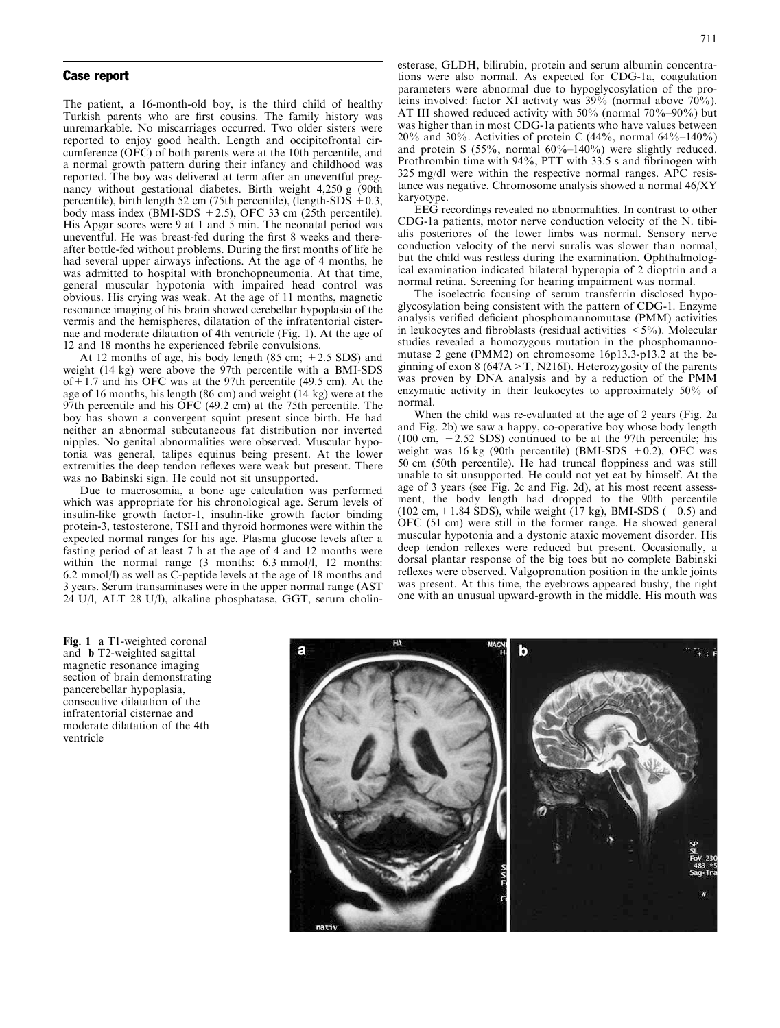#### Case report

The patient, a 16-month-old boy, is the third child of healthy Turkish parents who are first cousins. The family history was unremarkable. No miscarriages occurred. Two older sisters were reported to enjoy good health. Length and occipitofrontal circumference (OFC) of both parents were at the 10th percentile, and a normal growth pattern during their infancy and childhood was reported. The boy was delivered at term after an uneventful pregnancy without gestational diabetes. Birth weight 4,250 g (90th percentile), birth length 52 cm (75th percentile), (length-SDS  $+0.3$ , body mass index (BMI-SDS  $+2.5$ ), OFC 33 cm (25th percentile). His Apgar scores were 9 at 1 and 5 min. The neonatal period was uneventful. He was breast-fed during the first 8 weeks and thereafter bottle-fed without problems. During the first months of life he had several upper airways infections. At the age of 4 months, he was admitted to hospital with bronchopneumonia. At that time, general muscular hypotonia with impaired head control was obvious. His crying was weak. At the age of 11 months, magnetic resonance imaging of his brain showed cerebellar hypoplasia of the vermis and the hemispheres, dilatation of the infratentorial cisternae and moderate dilatation of 4th ventricle (Fig. 1). At the age of 12 and 18 months he experienced febrile convulsions.

At 12 months of age, his body length (85 cm;  $+2.5$  SDS) and weight (14 kg) were above the 97th percentile with a BMI-SDS of+1.7 and his OFC was at the 97th percentile (49.5 cm). At the age of 16 months, his length (86 cm) and weight (14 kg) were at the 97th percentile and his OFC (49.2 cm) at the 75th percentile. The boy has shown a convergent squint present since birth. He had neither an abnormal subcutaneous fat distribution nor inverted nipples. No genital abnormalities were observed. Muscular hypotonia was general, talipes equinus being present. At the lower extremities the deep tendon reflexes were weak but present. There was no Babinski sign. He could not sit unsupported.

Due to macrosomia, a bone age calculation was performed which was appropriate for his chronological age. Serum levels of insulin-like growth factor-1, insulin-like growth factor binding protein-3, testosterone, TSH and thyroid hormones were within the expected normal ranges for his age. Plasma glucose levels after a fasting period of at least 7 h at the age of 4 and 12 months were within the normal range (3 months: 6.3 mmol/l, 12 months: 6.2 mmol/l) as well as C-peptide levels at the age of 18 months and 3 years. Serum transaminases were in the upper normal range (AST 24 U/l, ALT 28 U/l), alkaline phosphatase, GGT, serum cholin-

esterase, GLDH, bilirubin, protein and serum albumin concentrations were also normal. As expected for CDG-1a, coagulation parameters were abnormal due to hypoglycosylation of the proteins involved: factor XI activity was 39% (normal above 70%). AT III showed reduced activity with 50% (normal 70%–90%) but was higher than in most CDG-1a patients who have values between 20% and 30%. Activities of protein C  $(44\%$ , normal  $64\%$ –140%) and protein S (55%, normal 60%–140%) were slightly reduced. Prothrombin time with 94%, PTT with 33.5 s and fibrinogen with 325 mg/dl were within the respective normal ranges. APC resistance was negative. Chromosome analysis showed a normal 46/XY karyotype.

EEG recordings revealed no abnormalities. In contrast to other CDG-1a patients, motor nerve conduction velocity of the N. tibialis posteriores of the lower limbs was normal. Sensory nerve conduction velocity of the nervi suralis was slower than normal, but the child was restless during the examination. Ophthalmological examination indicated bilateral hyperopia of 2 dioptrin and a normal retina. Screening for hearing impairment was normal.

The isoelectric focusing of serum transferrin disclosed hypoglycosylation being consistent with the pattern of CDG-1. Enzyme analysis verified deficient phosphomannomutase (PMM) activities in leukocytes and fibroblasts (residual activities  $\lt$  5%). Molecular studies revealed a homozygous mutation in the phosphomannomutase 2 gene (PMM2) on chromosome 16p13.3-p13.2 at the beginning of exon 8 (647A  $>$  T, N216I). Heterozygosity of the parents was proven by DNA analysis and by a reduction of the PMM enzymatic activity in their leukocytes to approximately 50% of normal.

When the child was re-evaluated at the age of 2 years (Fig. 2a and Fig. 2b) we saw a happy, co-operative boy whose body length  $(100 \text{ cm}, +2.52 \text{ SDS})$  continued to be at the 97th percentile; his weight was 16 kg (90th percentile) (BMI-SDS  $+0.2$ ), OFC was 50 cm (50th percentile). He had truncal floppiness and was still unable to sit unsupported. He could not yet eat by himself. At the age of 3 years (see Fig. 2c and Fig. 2d), at his most recent assessment, the body length had dropped to the 90th percentile  $(102 \text{ cm}, +1.84 \text{ SDS})$ , while weight  $(17 \text{ kg})$ , BMI-SDS  $(+0.5)$  and OFC (51 cm) were still in the former range. He showed general muscular hypotonia and a dystonic ataxic movement disorder. His deep tendon reflexes were reduced but present. Occasionally, a dorsal plantar response of the big toes but no complete Babinski reflexes were observed. Valgopronation position in the ankle joints was present. At this time, the eyebrows appeared bushy, the right one with an unusual upward-growth in the middle. His mouth was

Fig. 1 a T1-weighted coronal and b T2-weighted sagittal magnetic resonance imaging section of brain demonstrating pancerebellar hypoplasia, consecutive dilatation of the infratentorial cisternae and moderate dilatation of the 4th ventricle

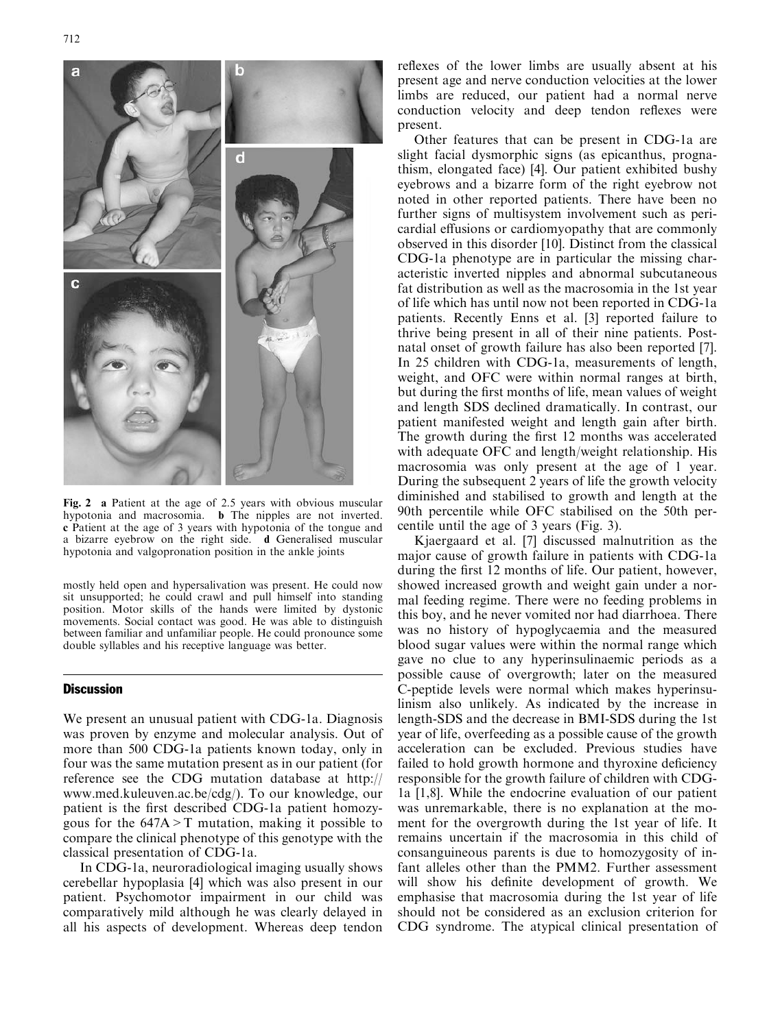

Fig. 2 a Patient at the age of 2.5 years with obvious muscular hypotonia and macrosomia. b The nipples are not inverted. c Patient at the age of 3 years with hypotonia of the tongue and a bizarre eyebrow on the right side. d Generalised muscular hypotonia and valgopronation position in the ankle joints

mostly held open and hypersalivation was present. He could now sit unsupported; he could crawl and pull himself into standing position. Motor skills of the hands were limited by dystonic movements. Social contact was good. He was able to distinguish between familiar and unfamiliar people. He could pronounce some double syllables and his receptive language was better.

### **Discussion**

We present an unusual patient with CDG-1a. Diagnosis was proven by enzyme and molecular analysis. Out of more than 500 CDG-1a patients known today, only in four was the same mutation present as in our patient (for reference see the CDG mutation database at http:// www.med.kuleuven.ac.be/cdg/). To our knowledge, our patient is the first described CDG-1a patient homozygous for the  $647A > T$  mutation, making it possible to compare the clinical phenotype of this genotype with the classical presentation of CDG-1a.

In CDG-1a, neuroradiological imaging usually shows cerebellar hypoplasia [4] which was also present in our patient. Psychomotor impairment in our child was comparatively mild although he was clearly delayed in all his aspects of development. Whereas deep tendon reflexes of the lower limbs are usually absent at his present age and nerve conduction velocities at the lower limbs are reduced, our patient had a normal nerve conduction velocity and deep tendon reflexes were present.

Other features that can be present in CDG-1a are slight facial dysmorphic signs (as epicanthus, prognathism, elongated face) [4]. Our patient exhibited bushy eyebrows and a bizarre form of the right eyebrow not noted in other reported patients. There have been no further signs of multisystem involvement such as pericardial effusions or cardiomyopathy that are commonly observed in this disorder [10]. Distinct from the classical CDG-1a phenotype are in particular the missing characteristic inverted nipples and abnormal subcutaneous fat distribution as well as the macrosomia in the 1st year of life which has until now not been reported in CDG-1a patients. Recently Enns et al. [3] reported failure to thrive being present in all of their nine patients. Postnatal onset of growth failure has also been reported [7]. In 25 children with CDG-1a, measurements of length, weight, and OFC were within normal ranges at birth, but during the first months of life, mean values of weight and length SDS declined dramatically. In contrast, our patient manifested weight and length gain after birth. The growth during the first 12 months was accelerated with adequate OFC and length/weight relationship. His macrosomia was only present at the age of 1 year. During the subsequent 2 years of life the growth velocity diminished and stabilised to growth and length at the 90th percentile while OFC stabilised on the 50th percentile until the age of 3 years (Fig. 3).

Kjaergaard et al. [7] discussed malnutrition as the major cause of growth failure in patients with CDG-1a during the first 12 months of life. Our patient, however, showed increased growth and weight gain under a normal feeding regime. There were no feeding problems in this boy, and he never vomited nor had diarrhoea. There was no history of hypoglycaemia and the measured blood sugar values were within the normal range which gave no clue to any hyperinsulinaemic periods as a possible cause of overgrowth; later on the measured C-peptide levels were normal which makes hyperinsulinism also unlikely. As indicated by the increase in length-SDS and the decrease in BMI-SDS during the 1st year of life, overfeeding as a possible cause of the growth acceleration can be excluded. Previous studies have failed to hold growth hormone and thyroxine deficiency responsible for the growth failure of children with CDG-1a [1,8]. While the endocrine evaluation of our patient was unremarkable, there is no explanation at the moment for the overgrowth during the 1st year of life. It remains uncertain if the macrosomia in this child of consanguineous parents is due to homozygosity of infant alleles other than the PMM2. Further assessment will show his definite development of growth. We emphasise that macrosomia during the 1st year of life should not be considered as an exclusion criterion for CDG syndrome. The atypical clinical presentation of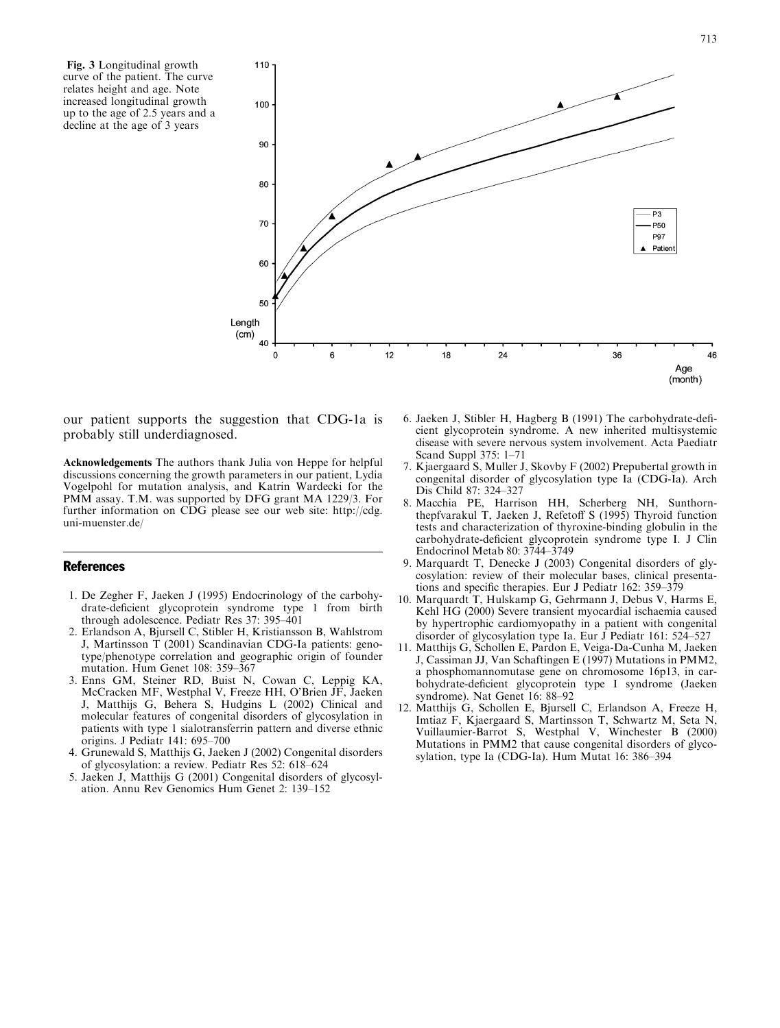Fig. 3 Longitudinal growth curve of the patient. The curve relates height and age. Note increased longitudinal growth up to the age of 2.5 years and a decline at the age of 3 years



our patient supports the suggestion that CDG-1a is probably still underdiagnosed.

Acknowledgements The authors thank Julia von Heppe for helpful discussions concerning the growth parameters in our patient, Lydia Vogelpohl for mutation analysis, and Katrin Wardecki for the PMM assay. T.M. was supported by DFG grant MA 1229/3. For further information on CDG please see our web site: http://cdg. uni-muenster.de/

#### References

- 1. De Zegher F, Jaeken J (1995) Endocrinology of the carbohydrate-deficient glycoprotein syndrome type 1 from birth through adolescence. Pediatr Res 37: 395–401
- 2. Erlandson A, Bjursell C, Stibler H, Kristiansson B, Wahlstrom J, Martinsson T (2001) Scandinavian CDG-Ia patients: genotype/phenotype correlation and geographic origin of founder mutation. Hum Genet 108: 359–367
- 3. Enns GM, Steiner RD, Buist N, Cowan C, Leppig KA, McCracken MF, Westphal V, Freeze HH, O'Brien JF, Jaeken J, Matthijs G, Behera S, Hudgins L (2002) Clinical and molecular features of congenital disorders of glycosylation in patients with type 1 sialotransferrin pattern and diverse ethnic origins. J Pediatr 141: 695–700
- 4. Grunewald S, Matthijs G, Jaeken J (2002) Congenital disorders of glycosylation: a review. Pediatr Res 52: 618–624
- 5. Jaeken J, Matthijs G (2001) Congenital disorders of glycosylation. Annu Rev Genomics Hum Genet 2: 139–152
- 6. Jaeken J, Stibler H, Hagberg B (1991) The carbohydrate-deficient glycoprotein syndrome. A new inherited multisystemic disease with severe nervous system involvement. Acta Paediatr Scand Suppl 375: 1–71
- 7. Kjaergaard S, Muller J, Skovby F (2002) Prepubertal growth in congenital disorder of glycosylation type Ia (CDG-Ia). Arch Dis Child 87: 324–327
- 8. Macchia PE, Harrison HH, Scherberg NH, Sunthornthepfvarakul T, Jaeken J, Refetoff S (1995) Thyroid function tests and characterization of thyroxine-binding globulin in the carbohydrate-deficient glycoprotein syndrome type I. J Clin Endocrinol Metab 80: 3744–3749
- 9. Marquardt T, Denecke J (2003) Congenital disorders of glycosylation: review of their molecular bases, clinical presentations and specific therapies. Eur J Pediatr 162: 359–379
- 10. Marquardt T, Hulskamp G, Gehrmann J, Debus V, Harms E, Kehl HG (2000) Severe transient myocardial ischaemia caused by hypertrophic cardiomyopathy in a patient with congenital disorder of glycosylation type Ia. Eur J Pediatr 161: 524–527
- 11. Matthijs G, Schollen E, Pardon E, Veiga-Da-Cunha M, Jaeken J, Cassiman JJ, Van Schaftingen E (1997) Mutations in PMM2, a phosphomannomutase gene on chromosome 16p13, in carbohydrate-deficient glycoprotein type I syndrome (Jaeken syndrome). Nat Genet 16: 88–92
- 12. Matthijs G, Schollen E, Bjursell C, Erlandson A, Freeze H, Imtiaz F, Kjaergaard S, Martinsson T, Schwartz M, Seta N, Vuillaumier-Barrot S, Westphal V, Winchester B (2000) Mutations in PMM2 that cause congenital disorders of glycosylation, type Ia (CDG-Ia). Hum Mutat 16: 386–394